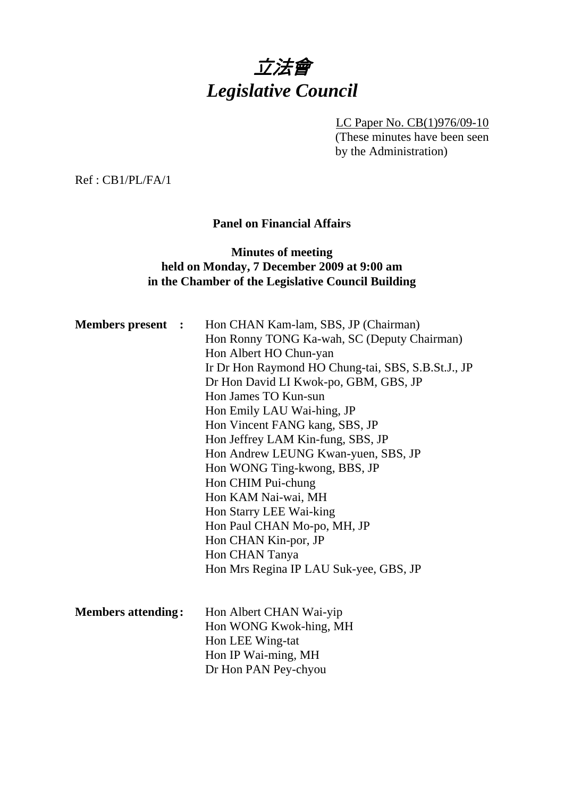

LC Paper No. CB(1)976/09-10 (These minutes have been seen by the Administration)

Ref : CB1/PL/FA/1

# **Panel on Financial Affairs**

## **Minutes of meeting held on Monday, 7 December 2009 at 9:00 am in the Chamber of the Legislative Council Building**

| <b>Members present :</b>  | Hon CHAN Kam-lam, SBS, JP (Chairman)<br>Hon Ronny TONG Ka-wah, SC (Deputy Chairman) |
|---------------------------|-------------------------------------------------------------------------------------|
|                           | Hon Albert HO Chun-yan                                                              |
|                           | Ir Dr Hon Raymond HO Chung-tai, SBS, S.B.St.J., JP                                  |
|                           | Dr Hon David LI Kwok-po, GBM, GBS, JP                                               |
|                           | Hon James TO Kun-sun                                                                |
|                           | Hon Emily LAU Wai-hing, JP                                                          |
|                           | Hon Vincent FANG kang, SBS, JP                                                      |
|                           | Hon Jeffrey LAM Kin-fung, SBS, JP                                                   |
|                           | Hon Andrew LEUNG Kwan-yuen, SBS, JP                                                 |
|                           | Hon WONG Ting-kwong, BBS, JP                                                        |
|                           | Hon CHIM Pui-chung                                                                  |
|                           | Hon KAM Nai-wai, MH                                                                 |
|                           | Hon Starry LEE Wai-king                                                             |
|                           | Hon Paul CHAN Mo-po, MH, JP                                                         |
|                           | Hon CHAN Kin-por, JP                                                                |
|                           | Hon CHAN Tanya                                                                      |
|                           | Hon Mrs Regina IP LAU Suk-yee, GBS, JP                                              |
|                           |                                                                                     |
| <b>Members attending:</b> | Hon Albert CHAN Wai-yip                                                             |
|                           | Hon WONG Kwok-hing, MH                                                              |
|                           | Hon LEE Wing-tat                                                                    |
|                           | Hon IP Wai-ming, MH                                                                 |
|                           | Dr Hon PAN Pey-chyou                                                                |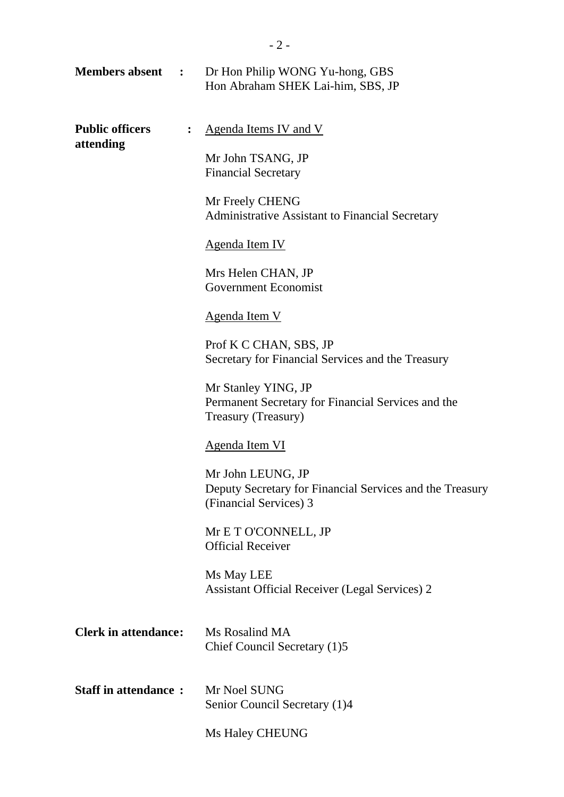|                                     |                  | <b>Members absent :</b> Dr Hon Philip WONG Yu-hong, GBS<br>Hon Abraham SHEK Lai-him, SBS, JP            |
|-------------------------------------|------------------|---------------------------------------------------------------------------------------------------------|
| <b>Public officers</b><br>attending | $\ddot{\bullet}$ | Agenda Items IV and V<br>Mr John TSANG, JP<br><b>Financial Secretary</b>                                |
|                                     |                  | Mr Freely CHENG<br>Administrative Assistant to Financial Secretary                                      |
|                                     |                  | Agenda Item IV                                                                                          |
|                                     |                  | Mrs Helen CHAN, JP<br><b>Government Economist</b>                                                       |
|                                     |                  | Agenda Item V                                                                                           |
|                                     |                  | Prof K C CHAN, SBS, JP<br>Secretary for Financial Services and the Treasury                             |
|                                     |                  | Mr Stanley YING, JP<br>Permanent Secretary for Financial Services and the<br>Treasury (Treasury)        |
|                                     |                  | <b>Agenda Item VI</b>                                                                                   |
|                                     |                  | Mr John LEUNG, JP<br>Deputy Secretary for Financial Services and the Treasury<br>(Financial Services) 3 |
|                                     |                  | Mr E T O'CONNELL, JP<br><b>Official Receiver</b>                                                        |
|                                     |                  | Ms May LEE<br><b>Assistant Official Receiver (Legal Services) 2</b>                                     |
| <b>Clerk in attendance:</b>         |                  | Ms Rosalind MA<br>Chief Council Secretary (1)5                                                          |
| <b>Staff in attendance:</b>         |                  | Mr Noel SUNG<br>Senior Council Secretary (1)4                                                           |
|                                     |                  | <b>Ms Haley CHEUNG</b>                                                                                  |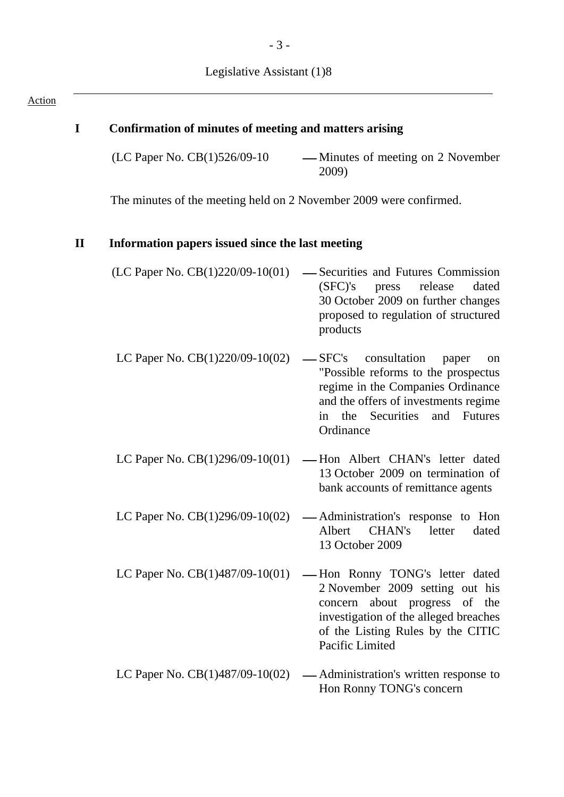| $\mathbf I$  | <b>Confirmation of minutes of meeting and matters arising</b>      |                                                                                                                                                                                                      |
|--------------|--------------------------------------------------------------------|------------------------------------------------------------------------------------------------------------------------------------------------------------------------------------------------------|
|              | (LC Paper No. CB(1)526/09-10                                       | — Minutes of meeting on 2 November<br>2009)                                                                                                                                                          |
|              | The minutes of the meeting held on 2 November 2009 were confirmed. |                                                                                                                                                                                                      |
| $\mathbf{I}$ | Information papers issued since the last meeting                   |                                                                                                                                                                                                      |
|              | (LC Paper No. $CB(1)220/09-10(01)$                                 | -Securities and Futures Commission<br>(SFC)'s<br>release<br>dated<br>press<br>30 October 2009 on further changes<br>proposed to regulation of structured<br>products                                 |
|              | LC Paper No. $CB(1)220/09-10(02)$                                  | consultation<br>$-$ SFC's<br>paper<br>"Possible reforms to the prospectus<br>regime in the Companies Ordinance<br>and the offers of investments regime<br>in the Securities and Futures<br>Ordinance |
|              | LC Paper No. $CB(1)296/09-10(01)$                                  | -Hon Albert CHAN's letter dated<br>13 October 2009 on termination of<br>bank accounts of remittance agents                                                                                           |
|              | LC Paper No. $CB(1)296/09-10(02)$                                  | - Administration's response to Hon<br>CHAN's<br>Albert<br>letter<br>dated<br>13 October 2009                                                                                                         |
|              | LC Paper No. $CB(1)487/09-10(01)$                                  | -Hon Ronny TONG's letter dated<br>2 November 2009 setting out his<br>concern about progress of the<br>investigation of the alleged breaches<br>of the Listing Rules by the CITIC<br>Pacific Limited  |
|              | LC Paper No. $CB(1)487/09-10(02)$                                  | — Administration's written response to<br>Hon Ronny TONG's concern                                                                                                                                   |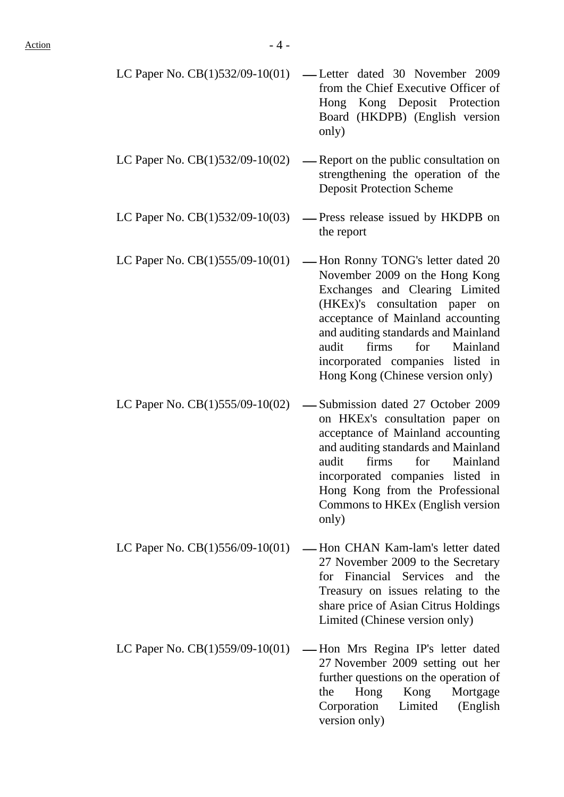| LC Paper No. $CB(1)532/09-10(01)$ — Letter dated 30 November 2009 |  |  |  |
|-------------------------------------------------------------------|--|--|--|
| from the Chief Executive Officer of                               |  |  |  |
| Hong Kong Deposit Protection                                      |  |  |  |
| Board (HKDPB) (English version                                    |  |  |  |
| only)                                                             |  |  |  |
|                                                                   |  |  |  |

- LC Paper No.  $CB(1)532/09-10(02)$  Report on the public consultation on strengthening the operation of the Deposit Protection Scheme
- LC Paper No.  $CB(1)532/09-10(03)$  Press release issued by HKDPB on the report
- LC Paper No.  $CB(1)555/09-10(01)$  Hon Ronny TONG's letter dated 20 November 2009 on the Hong Kong Exchanges and Clearing Limited (HKEx)'s consultation paper on acceptance of Mainland accounting and auditing standards and Mainland audit firms for Mainland incorporated companies listed in Hong Kong (Chinese version only)
- LC Paper No.  $CB(1)$ 555/09-10(02) Submission dated 27 October 2009 on HKEx's consultation paper on acceptance of Mainland accounting and auditing standards and Mainland audit firms for Mainland incorporated companies listed in Hong Kong from the Professional Commons to HKEx (English version only)
- LC Paper No.  $CB(1)556/09-10(01)$  Hon CHAN Kam-lam's letter dated 27 November 2009 to the Secretary for Financial Services and the Treasury on issues relating to the share price of Asian Citrus Holdings Limited (Chinese version only)
- LC Paper No.  $CB(1)559/09-10(01)$  Hon Mrs Regina IP's letter dated 27 November 2009 setting out her further questions on the operation of the Hong Kong Mortgage Corporation Limited (English version only)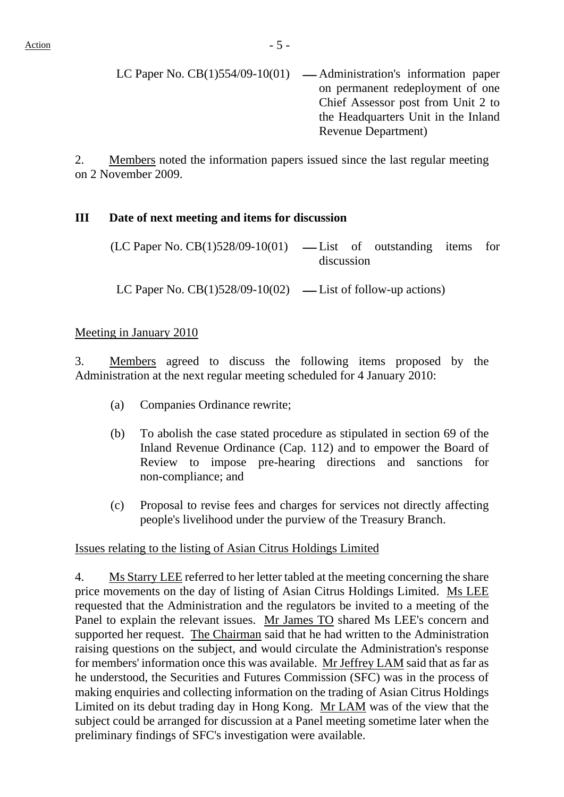LC Paper No.  $CB(1)554/09-10(01)$  — Administration's information paper on permanent redeployment of one Chief Assessor post from Unit 2 to the Headquarters Unit in the Inland Revenue Department)

2. Members noted the information papers issued since the last regular meeting on 2 November 2009.

## **III Date of next meeting and items for discussion**

 $(LC$  Paper No.  $CB(1)528/09-10(01)$  — List of outstanding items for discussion

LC Paper No.  $CB(1)528/09-10(02)$  — List of follow-up actions)

### Meeting in January 2010

3. Members agreed to discuss the following items proposed by the Administration at the next regular meeting scheduled for 4 January 2010:

- (a) Companies Ordinance rewrite;
- (b) To abolish the case stated procedure as stipulated in section 69 of the Inland Revenue Ordinance (Cap. 112) and to empower the Board of Review to impose pre-hearing directions and sanctions for non-compliance; and
- (c) Proposal to revise fees and charges for services not directly affecting people's livelihood under the purview of the Treasury Branch.

Issues relating to the listing of Asian Citrus Holdings Limited

4. Ms Starry LEE referred to her letter tabled at the meeting concerning the share price movements on the day of listing of Asian Citrus Holdings Limited. Ms LEE requested that the Administration and the regulators be invited to a meeting of the Panel to explain the relevant issues. Mr James TO shared Ms LEE's concern and supported her request. The Chairman said that he had written to the Administration raising questions on the subject, and would circulate the Administration's response for members' information once this was available. Mr Jeffrey LAM said that as far as he understood, the Securities and Futures Commission (SFC) was in the process of making enquiries and collecting information on the trading of Asian Citrus Holdings Limited on its debut trading day in Hong Kong. Mr LAM was of the view that the subject could be arranged for discussion at a Panel meeting sometime later when the preliminary findings of SFC's investigation were available.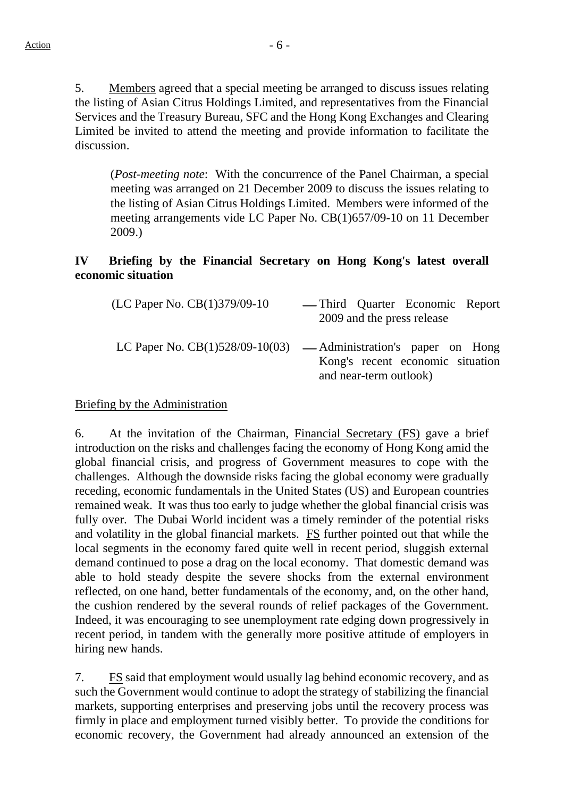5. Members agreed that a special meeting be arranged to discuss issues relating the listing of Asian Citrus Holdings Limited, and representatives from the Financial Services and the Treasury Bureau, SFC and the Hong Kong Exchanges and Clearing Limited be invited to attend the meeting and provide information to facilitate the discussion.

(*Post-meeting note*: With the concurrence of the Panel Chairman, a special meeting was arranged on 21 December 2009 to discuss the issues relating to the listing of Asian Citrus Holdings Limited. Members were informed of the meeting arrangements vide LC Paper No. CB(1)657/09-10 on 11 December 2009.)

## **IV Briefing by the Financial Secretary on Hong Kong's latest overall economic situation**

| (LC Paper No. CB(1)379/09-10 | — Third Quarter Economic Report<br>2009 and the press release                                                                    |
|------------------------------|----------------------------------------------------------------------------------------------------------------------------------|
|                              | LC Paper No. $CB(1)528/09-10(03)$ — Administration's paper on Hong<br>Kong's recent economic situation<br>and near-term outlook) |

## Briefing by the Administration

6. At the invitation of the Chairman, Financial Secretary (FS) gave a brief introduction on the risks and challenges facing the economy of Hong Kong amid the global financial crisis, and progress of Government measures to cope with the challenges. Although the downside risks facing the global economy were gradually receding, economic fundamentals in the United States (US) and European countries remained weak. It was thus too early to judge whether the global financial crisis was fully over. The Dubai World incident was a timely reminder of the potential risks and volatility in the global financial markets. FS further pointed out that while the local segments in the economy fared quite well in recent period, sluggish external demand continued to pose a drag on the local economy. That domestic demand was able to hold steady despite the severe shocks from the external environment reflected, on one hand, better fundamentals of the economy, and, on the other hand, the cushion rendered by the several rounds of relief packages of the Government. Indeed, it was encouraging to see unemployment rate edging down progressively in recent period, in tandem with the generally more positive attitude of employers in hiring new hands.

7. FS said that employment would usually lag behind economic recovery, and as such the Government would continue to adopt the strategy of stabilizing the financial markets, supporting enterprises and preserving jobs until the recovery process was firmly in place and employment turned visibly better. To provide the conditions for economic recovery, the Government had already announced an extension of the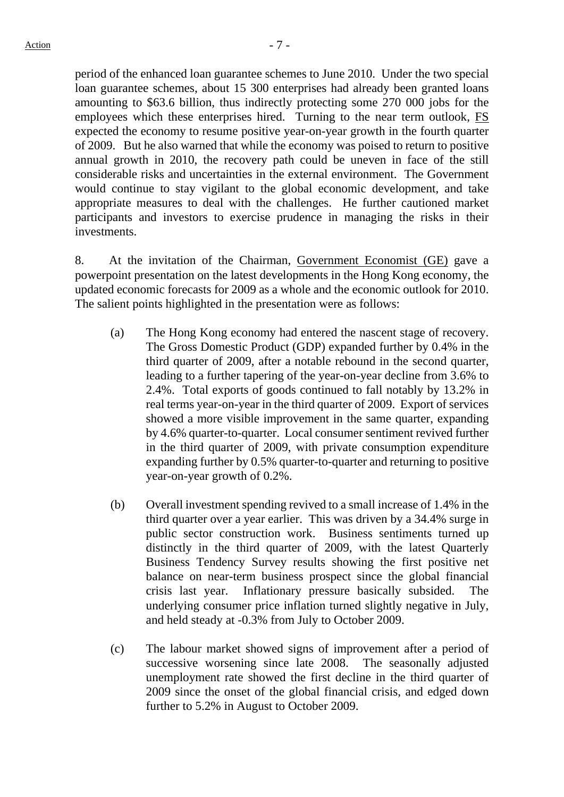period of the enhanced loan guarantee schemes to June 2010. Under the two special loan guarantee schemes, about 15 300 enterprises had already been granted loans amounting to \$63.6 billion, thus indirectly protecting some 270 000 jobs for the employees which these enterprises hired. Turning to the near term outlook, FS expected the economy to resume positive year-on-year growth in the fourth quarter of 2009. But he also warned that while the economy was poised to return to positive annual growth in 2010, the recovery path could be uneven in face of the still considerable risks and uncertainties in the external environment. The Government would continue to stay vigilant to the global economic development, and take appropriate measures to deal with the challenges. He further cautioned market participants and investors to exercise prudence in managing the risks in their investments.

8. At the invitation of the Chairman, Government Economist (GE) gave a powerpoint presentation on the latest developments in the Hong Kong economy, the updated economic forecasts for 2009 as a whole and the economic outlook for 2010. The salient points highlighted in the presentation were as follows:

- (a) The Hong Kong economy had entered the nascent stage of recovery. The Gross Domestic Product (GDP) expanded further by 0.4% in the third quarter of 2009, after a notable rebound in the second quarter, leading to a further tapering of the year-on-year decline from 3.6% to 2.4%. Total exports of goods continued to fall notably by 13.2% in real terms year-on-year in the third quarter of 2009. Export of services showed a more visible improvement in the same quarter, expanding by 4.6% quarter-to-quarter. Local consumer sentiment revived further in the third quarter of 2009, with private consumption expenditure expanding further by 0.5% quarter-to-quarter and returning to positive year-on-year growth of 0.2%.
- (b) Overall investment spending revived to a small increase of 1.4% in the third quarter over a year earlier. This was driven by a 34.4% surge in public sector construction work. Business sentiments turned up distinctly in the third quarter of 2009, with the latest Quarterly Business Tendency Survey results showing the first positive net balance on near-term business prospect since the global financial crisis last year. Inflationary pressure basically subsided. The underlying consumer price inflation turned slightly negative in July, and held steady at -0.3% from July to October 2009.
- (c) The labour market showed signs of improvement after a period of successive worsening since late 2008. The seasonally adjusted unemployment rate showed the first decline in the third quarter of 2009 since the onset of the global financial crisis, and edged down further to 5.2% in August to October 2009.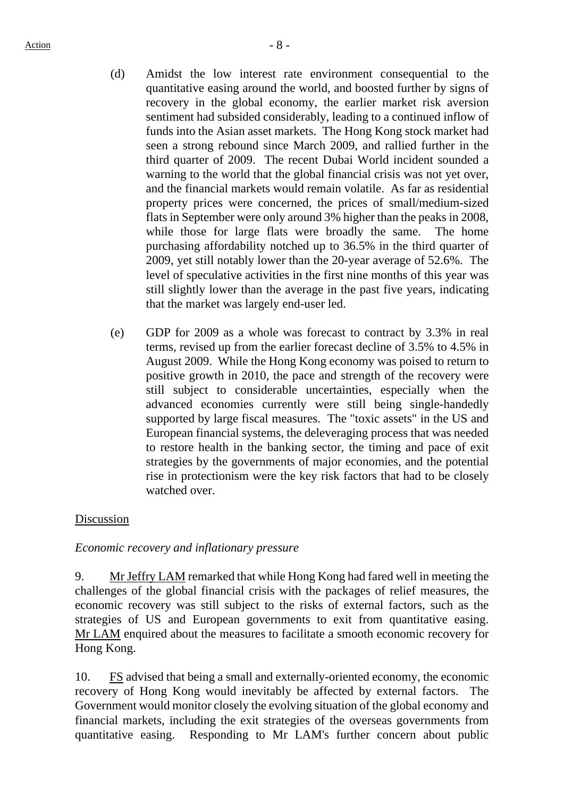- (d) Amidst the low interest rate environment consequential to the quantitative easing around the world, and boosted further by signs of recovery in the global economy, the earlier market risk aversion sentiment had subsided considerably, leading to a continued inflow of funds into the Asian asset markets. The Hong Kong stock market had seen a strong rebound since March 2009, and rallied further in the third quarter of 2009. The recent Dubai World incident sounded a warning to the world that the global financial crisis was not yet over, and the financial markets would remain volatile. As far as residential property prices were concerned, the prices of small/medium-sized flats in September were only around 3% higher than the peaks in 2008, while those for large flats were broadly the same. The home purchasing affordability notched up to 36.5% in the third quarter of 2009, yet still notably lower than the 20-year average of 52.6%. The level of speculative activities in the first nine months of this year was still slightly lower than the average in the past five years, indicating that the market was largely end-user led.
- (e) GDP for 2009 as a whole was forecast to contract by 3.3% in real terms, revised up from the earlier forecast decline of 3.5% to 4.5% in August 2009. While the Hong Kong economy was poised to return to positive growth in 2010, the pace and strength of the recovery were still subject to considerable uncertainties, especially when the advanced economies currently were still being single-handedly supported by large fiscal measures. The "toxic assets" in the US and European financial systems, the deleveraging process that was needed to restore health in the banking sector, the timing and pace of exit strategies by the governments of major economies, and the potential rise in protectionism were the key risk factors that had to be closely watched over.

## Discussion

*Economic recovery and inflationary pressure*

9. Mr Jeffry LAM remarked that while Hong Kong had fared well in meeting the challenges of the global financial crisis with the packages of relief measures, the economic recovery was still subject to the risks of external factors, such as the strategies of US and European governments to exit from quantitative easing. Mr LAM enquired about the measures to facilitate a smooth economic recovery for Hong Kong.

10. FS advised that being a small and externally-oriented economy, the economic recovery of Hong Kong would inevitably be affected by external factors. The Government would monitor closely the evolving situation of the global economy and financial markets, including the exit strategies of the overseas governments from quantitative easing. Responding to Mr LAM's further concern about public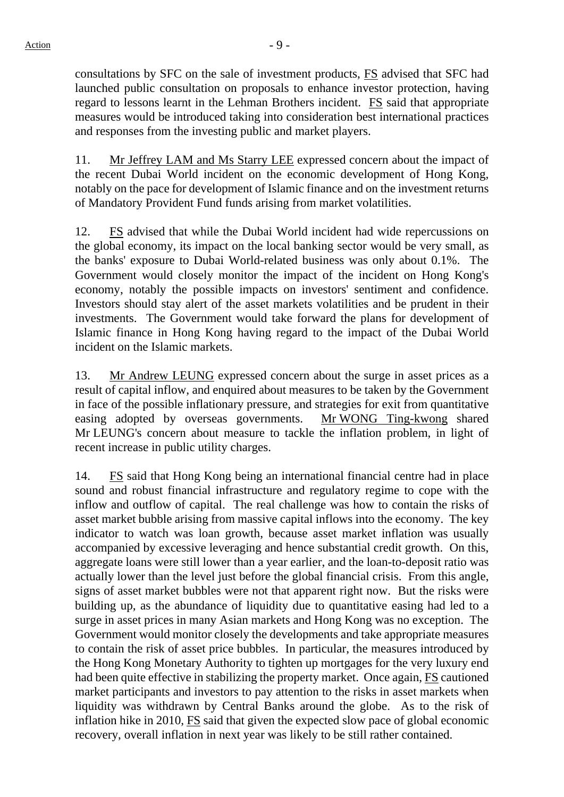consultations by SFC on the sale of investment products, FS advised that SFC had launched public consultation on proposals to enhance investor protection, having regard to lessons learnt in the Lehman Brothers incident. FS said that appropriate measures would be introduced taking into consideration best international practices and responses from the investing public and market players.

11. Mr Jeffrey LAM and Ms Starry LEE expressed concern about the impact of the recent Dubai World incident on the economic development of Hong Kong, notably on the pace for development of Islamic finance and on the investment returns of Mandatory Provident Fund funds arising from market volatilities.

12. FS advised that while the Dubai World incident had wide repercussions on the global economy, its impact on the local banking sector would be very small, as the banks' exposure to Dubai World-related business was only about 0.1%. The Government would closely monitor the impact of the incident on Hong Kong's economy, notably the possible impacts on investors' sentiment and confidence. Investors should stay alert of the asset markets volatilities and be prudent in their investments. The Government would take forward the plans for development of Islamic finance in Hong Kong having regard to the impact of the Dubai World incident on the Islamic markets.

13. Mr Andrew LEUNG expressed concern about the surge in asset prices as a result of capital inflow, and enquired about measures to be taken by the Government in face of the possible inflationary pressure, and strategies for exit from quantitative easing adopted by overseas governments. Mr WONG Ting-kwong shared Mr LEUNG's concern about measure to tackle the inflation problem, in light of recent increase in public utility charges.

14. FS said that Hong Kong being an international financial centre had in place sound and robust financial infrastructure and regulatory regime to cope with the inflow and outflow of capital. The real challenge was how to contain the risks of asset market bubble arising from massive capital inflows into the economy. The key indicator to watch was loan growth, because asset market inflation was usually accompanied by excessive leveraging and hence substantial credit growth. On this, aggregate loans were still lower than a year earlier, and the loan-to-deposit ratio was actually lower than the level just before the global financial crisis. From this angle, signs of asset market bubbles were not that apparent right now. But the risks were building up, as the abundance of liquidity due to quantitative easing had led to a surge in asset prices in many Asian markets and Hong Kong was no exception. The Government would monitor closely the developments and take appropriate measures to contain the risk of asset price bubbles. In particular, the measures introduced by the Hong Kong Monetary Authority to tighten up mortgages for the very luxury end had been quite effective in stabilizing the property market. Once again, FS cautioned market participants and investors to pay attention to the risks in asset markets when liquidity was withdrawn by Central Banks around the globe. As to the risk of inflation hike in 2010, FS said that given the expected slow pace of global economic recovery, overall inflation in next year was likely to be still rather contained.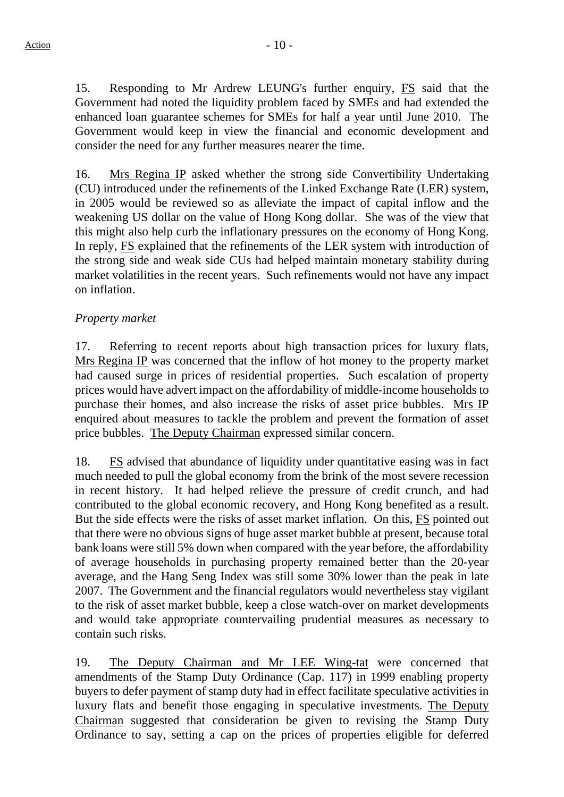15. Responding to Mr Ardrew LEUNG's further enquiry, FS said that the Government had noted the liquidity problem faced by SMEs and had extended the enhanced loan guarantee schemes for SMEs for half a year until June 2010. The Government would keep in view the financial and economic development and consider the need for any further measures nearer the time.

16. Mrs Regina IP asked whether the strong side Convertibility Undertaking (CU) introduced under the refinements of the Linked Exchange Rate (LER) system, in 2005 would be reviewed so as alleviate the impact of capital inflow and the weakening US dollar on the value of Hong Kong dollar. She was of the view that this might also help curb the inflationary pressures on the economy of Hong Kong. In reply, FS explained that the refinements of the LER system with introduction of the strong side and weak side CUs had helped maintain monetary stability during market volatilities in the recent years. Such refinements would not have any impact on inflation.

## *Property market*

17. Referring to recent reports about high transaction prices for luxury flats, Mrs Regina IP was concerned that the inflow of hot money to the property market had caused surge in prices of residential properties. Such escalation of property prices would have advert impact on the affordability of middle-income households to purchase their homes, and also increase the risks of asset price bubbles. Mrs IP enquired about measures to tackle the problem and prevent the formation of asset price bubbles. The Deputy Chairman expressed similar concern.

18. FS advised that abundance of liquidity under quantitative easing was in fact much needed to pull the global economy from the brink of the most severe recession in recent history. It had helped relieve the pressure of credit crunch, and had contributed to the global economic recovery, and Hong Kong benefited as a result. But the side effects were the risks of asset market inflation. On this, FS pointed out that there were no obvious signs of huge asset market bubble at present, because total bank loans were still 5% down when compared with the year before, the affordability of average households in purchasing property remained better than the 20-year average, and the Hang Seng Index was still some 30% lower than the peak in late 2007. The Government and the financial regulators would nevertheless stay vigilant to the risk of asset market bubble, keep a close watch-over on market developments and would take appropriate countervailing prudential measures as necessary to contain such risks.

19. The Deputy Chairman and Mr LEE Wing-tat were concerned that amendments of the Stamp Duty Ordinance (Cap. 117) in 1999 enabling property buyers to defer payment of stamp duty had in effect facilitate speculative activities in luxury flats and benefit those engaging in speculative investments. The Deputy Chairman suggested that consideration be given to revising the Stamp Duty Ordinance to say, setting a cap on the prices of properties eligible for deferred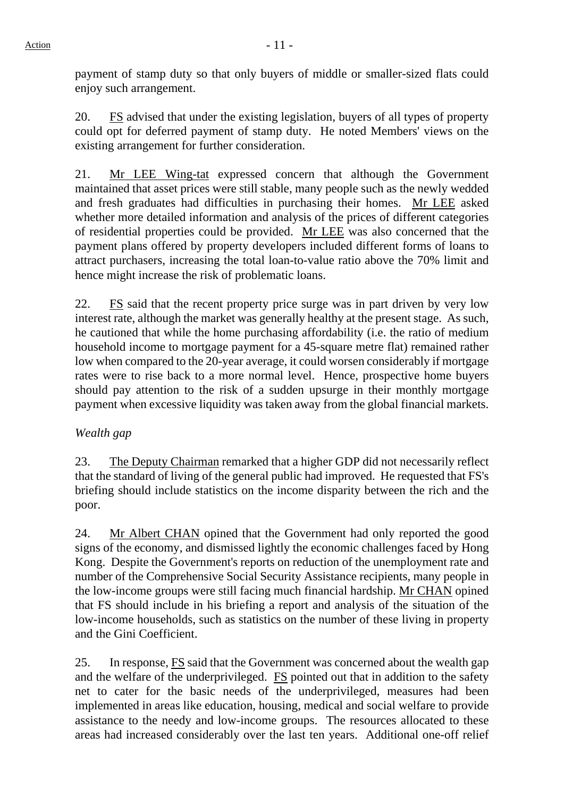payment of stamp duty so that only buyers of middle or smaller-sized flats could enjoy such arrangement.

20. FS advised that under the existing legislation, buyers of all types of property could opt for deferred payment of stamp duty. He noted Members' views on the existing arrangement for further consideration.

21. Mr LEE Wing-tat expressed concern that although the Government maintained that asset prices were still stable, many people such as the newly wedded and fresh graduates had difficulties in purchasing their homes. Mr LEE asked whether more detailed information and analysis of the prices of different categories of residential properties could be provided. Mr LEE was also concerned that the payment plans offered by property developers included different forms of loans to attract purchasers, increasing the total loan-to-value ratio above the 70% limit and hence might increase the risk of problematic loans.

22. FS said that the recent property price surge was in part driven by very low interest rate, although the market was generally healthy at the present stage. As such, he cautioned that while the home purchasing affordability (i.e. the ratio of medium household income to mortgage payment for a 45-square metre flat) remained rather low when compared to the 20-year average, it could worsen considerably if mortgage rates were to rise back to a more normal level. Hence, prospective home buyers should pay attention to the risk of a sudden upsurge in their monthly mortgage payment when excessive liquidity was taken away from the global financial markets.

## *Wealth gap*

23. The Deputy Chairman remarked that a higher GDP did not necessarily reflect that the standard of living of the general public had improved. He requested that FS's briefing should include statistics on the income disparity between the rich and the poor.

24. Mr Albert CHAN opined that the Government had only reported the good signs of the economy, and dismissed lightly the economic challenges faced by Hong Kong. Despite the Government's reports on reduction of the unemployment rate and number of the Comprehensive Social Security Assistance recipients, many people in the low-income groups were still facing much financial hardship. Mr CHAN opined that FS should include in his briefing a report and analysis of the situation of the low-income households, such as statistics on the number of these living in property and the Gini Coefficient.

25. In response, FS said that the Government was concerned about the wealth gap and the welfare of the underprivileged. FS pointed out that in addition to the safety net to cater for the basic needs of the underprivileged, measures had been implemented in areas like education, housing, medical and social welfare to provide assistance to the needy and low-income groups. The resources allocated to these areas had increased considerably over the last ten years. Additional one-off relief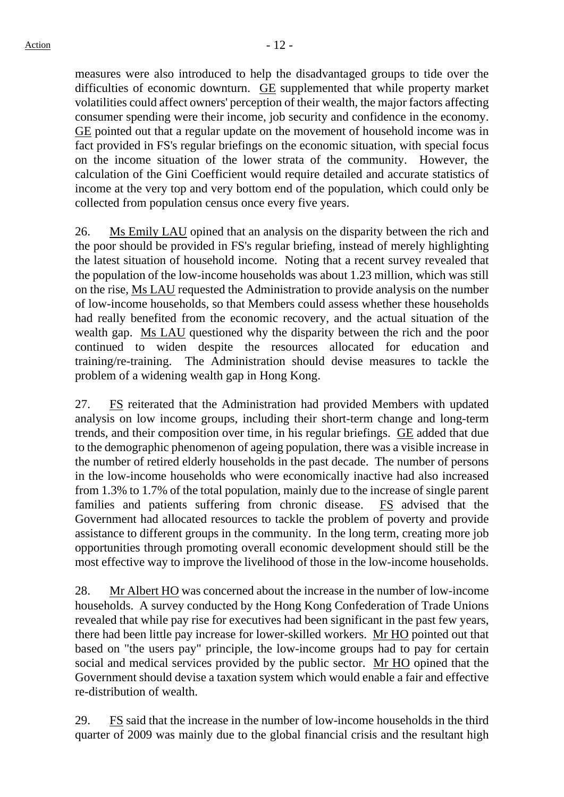measures were also introduced to help the disadvantaged groups to tide over the difficulties of economic downturn. GE supplemented that while property market volatilities could affect owners' perception of their wealth, the major factors affecting consumer spending were their income, job security and confidence in the economy. GE pointed out that a regular update on the movement of household income was in fact provided in FS's regular briefings on the economic situation, with special focus on the income situation of the lower strata of the community. However, the calculation of the Gini Coefficient would require detailed and accurate statistics of income at the very top and very bottom end of the population, which could only be collected from population census once every five years.

26. Ms Emily LAU opined that an analysis on the disparity between the rich and the poor should be provided in FS's regular briefing, instead of merely highlighting the latest situation of household income. Noting that a recent survey revealed that the population of the low-income households was about 1.23 million, which was still on the rise, Ms LAU requested the Administration to provide analysis on the number of low-income households, so that Members could assess whether these households had really benefited from the economic recovery, and the actual situation of the wealth gap. Ms LAU questioned why the disparity between the rich and the poor continued to widen despite the resources allocated for education and training/re-training. The Administration should devise measures to tackle the problem of a widening wealth gap in Hong Kong.

27. FS reiterated that the Administration had provided Members with updated analysis on low income groups, including their short-term change and long-term trends, and their composition over time, in his regular briefings. GE added that due to the demographic phenomenon of ageing population, there was a visible increase in the number of retired elderly households in the past decade. The number of persons in the low-income households who were economically inactive had also increased from 1.3% to 1.7% of the total population, mainly due to the increase of single parent families and patients suffering from chronic disease. FS advised that the Government had allocated resources to tackle the problem of poverty and provide assistance to different groups in the community. In the long term, creating more job opportunities through promoting overall economic development should still be the most effective way to improve the livelihood of those in the low-income households.

28. Mr Albert HO was concerned about the increase in the number of low-income households. A survey conducted by the Hong Kong Confederation of Trade Unions revealed that while pay rise for executives had been significant in the past few years, there had been little pay increase for lower-skilled workers. Mr HO pointed out that based on "the users pay" principle, the low-income groups had to pay for certain social and medical services provided by the public sector. Mr HO opined that the Government should devise a taxation system which would enable a fair and effective re-distribution of wealth.

29. FS said that the increase in the number of low-income households in the third quarter of 2009 was mainly due to the global financial crisis and the resultant high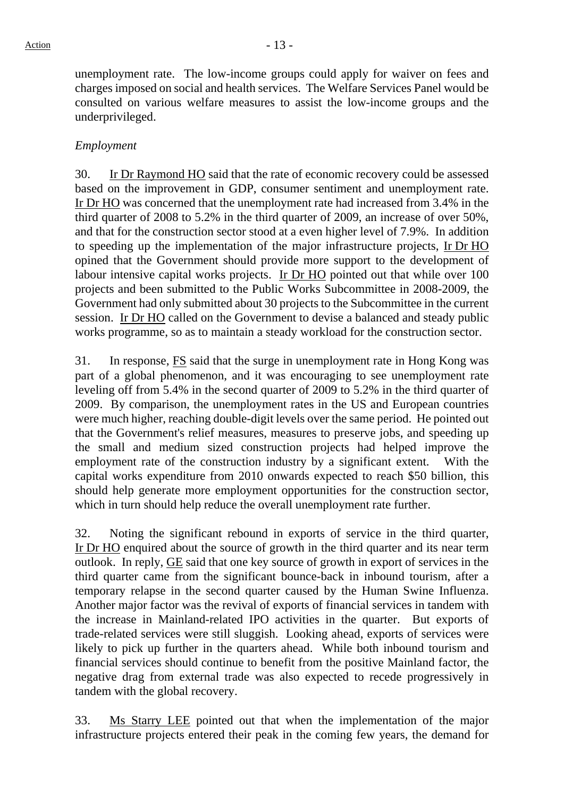unemployment rate. The low-income groups could apply for waiver on fees and charges imposed on social and health services. The Welfare Services Panel would be consulted on various welfare measures to assist the low-income groups and the underprivileged.

## *Employment*

30. Ir Dr Raymond HO said that the rate of economic recovery could be assessed based on the improvement in GDP, consumer sentiment and unemployment rate. Ir Dr HO was concerned that the unemployment rate had increased from 3.4% in the third quarter of 2008 to 5.2% in the third quarter of 2009, an increase of over 50%, and that for the construction sector stood at a even higher level of 7.9%. In addition to speeding up the implementation of the major infrastructure projects, Ir Dr HO opined that the Government should provide more support to the development of labour intensive capital works projects. Ir Dr HO pointed out that while over 100 projects and been submitted to the Public Works Subcommittee in 2008-2009, the Government had only submitted about 30 projects to the Subcommittee in the current session. Ir Dr HO called on the Government to devise a balanced and steady public works programme, so as to maintain a steady workload for the construction sector.

31. In response, FS said that the surge in unemployment rate in Hong Kong was part of a global phenomenon, and it was encouraging to see unemployment rate leveling off from 5.4% in the second quarter of 2009 to 5.2% in the third quarter of 2009. By comparison, the unemployment rates in the US and European countries were much higher, reaching double-digit levels over the same period. He pointed out that the Government's relief measures, measures to preserve jobs, and speeding up the small and medium sized construction projects had helped improve the employment rate of the construction industry by a significant extent. With the capital works expenditure from 2010 onwards expected to reach \$50 billion, this should help generate more employment opportunities for the construction sector, which in turn should help reduce the overall unemployment rate further.

32. Noting the significant rebound in exports of service in the third quarter, Ir Dr HO enquired about the source of growth in the third quarter and its near term outlook. In reply, GE said that one key source of growth in export of services in the third quarter came from the significant bounce-back in inbound tourism, after a temporary relapse in the second quarter caused by the Human Swine Influenza. Another major factor was the revival of exports of financial services in tandem with the increase in Mainland-related IPO activities in the quarter. But exports of trade-related services were still sluggish. Looking ahead, exports of services were likely to pick up further in the quarters ahead. While both inbound tourism and financial services should continue to benefit from the positive Mainland factor, the negative drag from external trade was also expected to recede progressively in tandem with the global recovery.

33. Ms Starry LEE pointed out that when the implementation of the major infrastructure projects entered their peak in the coming few years, the demand for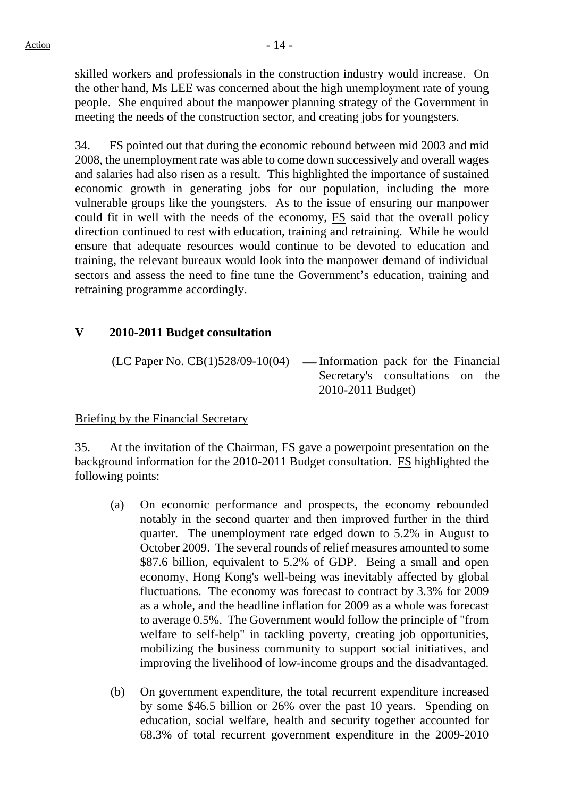skilled workers and professionals in the construction industry would increase. On the other hand, Ms LEE was concerned about the high unemployment rate of young people. She enquired about the manpower planning strategy of the Government in meeting the needs of the construction sector, and creating jobs for youngsters.

34. FS pointed out that during the economic rebound between mid 2003 and mid 2008, the unemployment rate was able to come down successively and overall wages and salaries had also risen as a result. This highlighted the importance of sustained economic growth in generating jobs for our population, including the more vulnerable groups like the youngsters. As to the issue of ensuring our manpower could fit in well with the needs of the economy, FS said that the overall policy direction continued to rest with education, training and retraining. While he would ensure that adequate resources would continue to be devoted to education and training, the relevant bureaux would look into the manpower demand of individual sectors and assess the need to fine tune the Government's education, training and retraining programme accordingly.

## **V 2010-2011 Budget consultation**

 $(LC$  Paper No.  $CB(1)528/09-10(04)$  — Information pack for the Financial Secretary's consultations on the 2010-2011 Budget)

## Briefing by the Financial Secretary

35. At the invitation of the Chairman, FS gave a powerpoint presentation on the background information for the 2010-2011 Budget consultation. FS highlighted the following points:

- (a) On economic performance and prospects, the economy rebounded notably in the second quarter and then improved further in the third quarter. The unemployment rate edged down to 5.2% in August to October 2009. The several rounds of relief measures amounted to some \$87.6 billion, equivalent to 5.2% of GDP. Being a small and open economy, Hong Kong's well-being was inevitably affected by global fluctuations. The economy was forecast to contract by 3.3% for 2009 as a whole, and the headline inflation for 2009 as a whole was forecast to average 0.5%. The Government would follow the principle of "from welfare to self-help" in tackling poverty, creating job opportunities, mobilizing the business community to support social initiatives, and improving the livelihood of low-income groups and the disadvantaged.
- (b) On government expenditure, the total recurrent expenditure increased by some \$46.5 billion or 26% over the past 10 years. Spending on education, social welfare, health and security together accounted for 68.3% of total recurrent government expenditure in the 2009-2010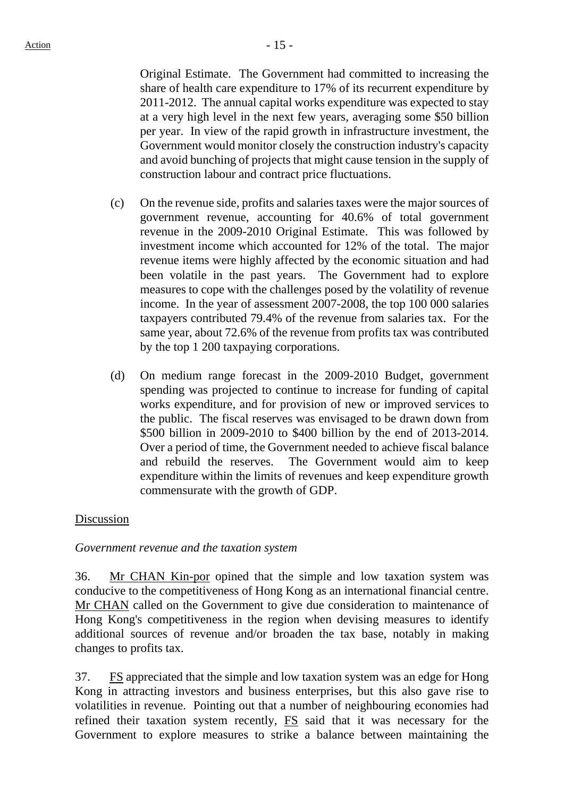Original Estimate. The Government had committed to increasing the share of health care expenditure to 17% of its recurrent expenditure by 2011-2012. The annual capital works expenditure was expected to stay at a very high level in the next few years, averaging some \$50 billion per year. In view of the rapid growth in infrastructure investment, the Government would monitor closely the construction industry's capacity and avoid bunching of projects that might cause tension in the supply of construction labour and contract price fluctuations.

- (c) On the revenue side, profits and salaries taxes were the major sources of government revenue, accounting for 40.6% of total government revenue in the 2009-2010 Original Estimate. This was followed by investment income which accounted for 12% of the total. The major revenue items were highly affected by the economic situation and had been volatile in the past years. The Government had to explore measures to cope with the challenges posed by the volatility of revenue income. In the year of assessment 2007-2008, the top 100 000 salaries taxpayers contributed 79.4% of the revenue from salaries tax. For the same year, about 72.6% of the revenue from profits tax was contributed by the top 1 200 taxpaying corporations.
- (d) On medium range forecast in the 2009-2010 Budget, government spending was projected to continue to increase for funding of capital works expenditure, and for provision of new or improved services to the public. The fiscal reserves was envisaged to be drawn down from \$500 billion in 2009-2010 to \$400 billion by the end of 2013-2014. Over a period of time, the Government needed to achieve fiscal balance and rebuild the reserves. The Government would aim to keep expenditure within the limits of revenues and keep expenditure growth commensurate with the growth of GDP.

#### Discussion

*Government revenue and the taxation system* 

36. Mr CHAN Kin-por opined that the simple and low taxation system was conducive to the competitiveness of Hong Kong as an international financial centre. Mr CHAN called on the Government to give due consideration to maintenance of Hong Kong's competitiveness in the region when devising measures to identify additional sources of revenue and/or broaden the tax base, notably in making changes to profits tax.

37. FS appreciated that the simple and low taxation system was an edge for Hong Kong in attracting investors and business enterprises, but this also gave rise to volatilities in revenue. Pointing out that a number of neighbouring economies had refined their taxation system recently, FS said that it was necessary for the Government to explore measures to strike a balance between maintaining the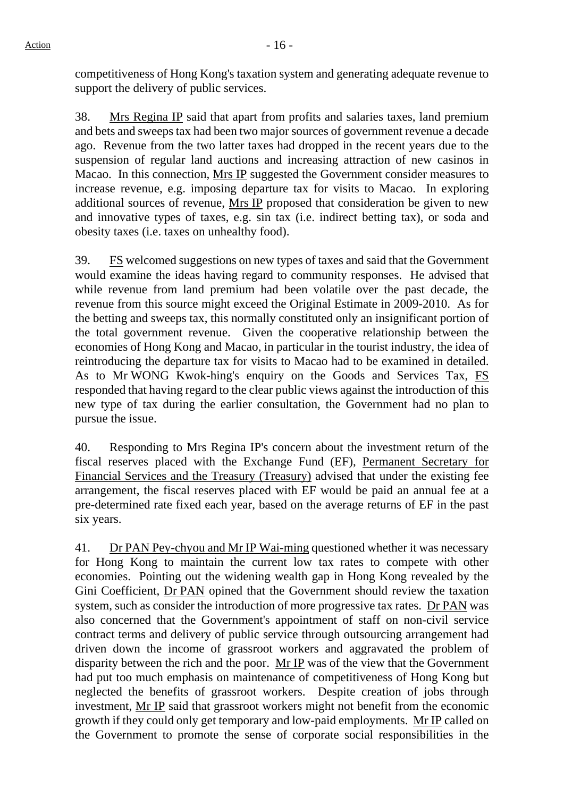competitiveness of Hong Kong's taxation system and generating adequate revenue to support the delivery of public services.

38. Mrs Regina IP said that apart from profits and salaries taxes, land premium and bets and sweeps tax had been two major sources of government revenue a decade ago. Revenue from the two latter taxes had dropped in the recent years due to the suspension of regular land auctions and increasing attraction of new casinos in Macao. In this connection, Mrs IP suggested the Government consider measures to increase revenue, e.g. imposing departure tax for visits to Macao. In exploring additional sources of revenue, Mrs IP proposed that consideration be given to new and innovative types of taxes, e.g. sin tax (i.e. indirect betting tax), or soda and obesity taxes (i.e. taxes on unhealthy food).

39. FS welcomed suggestions on new types of taxes and said that the Government would examine the ideas having regard to community responses. He advised that while revenue from land premium had been volatile over the past decade, the revenue from this source might exceed the Original Estimate in 2009-2010. As for the betting and sweeps tax, this normally constituted only an insignificant portion of the total government revenue. Given the cooperative relationship between the economies of Hong Kong and Macao, in particular in the tourist industry, the idea of reintroducing the departure tax for visits to Macao had to be examined in detailed. As to Mr WONG Kwok-hing's enquiry on the Goods and Services Tax, FS responded that having regard to the clear public views against the introduction of this new type of tax during the earlier consultation, the Government had no plan to pursue the issue.

40. Responding to Mrs Regina IP's concern about the investment return of the fiscal reserves placed with the Exchange Fund (EF), Permanent Secretary for Financial Services and the Treasury (Treasury) advised that under the existing fee arrangement, the fiscal reserves placed with EF would be paid an annual fee at a pre-determined rate fixed each year, based on the average returns of EF in the past six years.

41. Dr PAN Pey-chyou and Mr IP Wai-ming questioned whether it was necessary for Hong Kong to maintain the current low tax rates to compete with other economies. Pointing out the widening wealth gap in Hong Kong revealed by the Gini Coefficient, Dr PAN opined that the Government should review the taxation system, such as consider the introduction of more progressive tax rates. Dr PAN was also concerned that the Government's appointment of staff on non-civil service contract terms and delivery of public service through outsourcing arrangement had driven down the income of grassroot workers and aggravated the problem of disparity between the rich and the poor. Mr IP was of the view that the Government had put too much emphasis on maintenance of competitiveness of Hong Kong but neglected the benefits of grassroot workers. Despite creation of jobs through investment, Mr IP said that grassroot workers might not benefit from the economic growth if they could only get temporary and low-paid employments. Mr IP called on the Government to promote the sense of corporate social responsibilities in the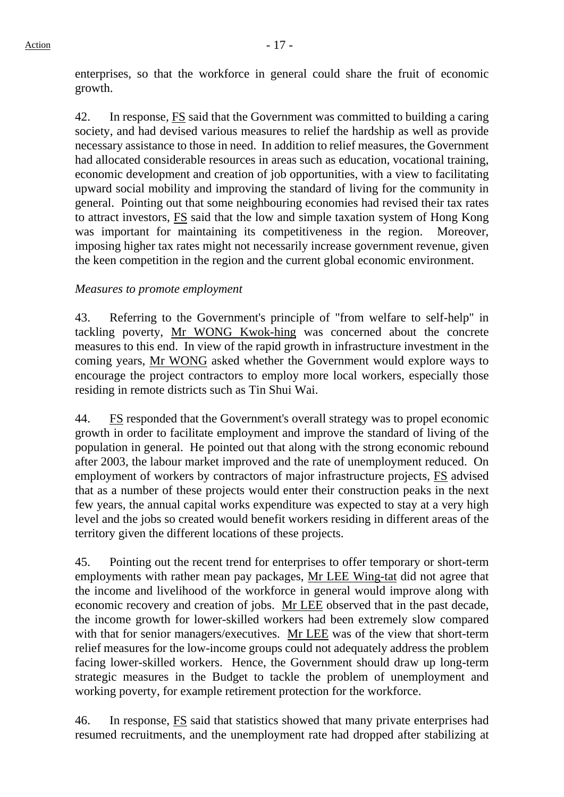enterprises, so that the workforce in general could share the fruit of economic growth.

42. In response, FS said that the Government was committed to building a caring society, and had devised various measures to relief the hardship as well as provide necessary assistance to those in need. In addition to relief measures, the Government had allocated considerable resources in areas such as education, vocational training, economic development and creation of job opportunities, with a view to facilitating upward social mobility and improving the standard of living for the community in general. Pointing out that some neighbouring economies had revised their tax rates to attract investors, FS said that the low and simple taxation system of Hong Kong was important for maintaining its competitiveness in the region. Moreover, imposing higher tax rates might not necessarily increase government revenue, given the keen competition in the region and the current global economic environment.

### *Measures to promote employment*

43. Referring to the Government's principle of "from welfare to self-help" in tackling poverty, Mr WONG Kwok-hing was concerned about the concrete measures to this end. In view of the rapid growth in infrastructure investment in the coming years, Mr WONG asked whether the Government would explore ways to encourage the project contractors to employ more local workers, especially those residing in remote districts such as Tin Shui Wai.

44. FS responded that the Government's overall strategy was to propel economic growth in order to facilitate employment and improve the standard of living of the population in general. He pointed out that along with the strong economic rebound after 2003, the labour market improved and the rate of unemployment reduced. On employment of workers by contractors of major infrastructure projects, FS advised that as a number of these projects would enter their construction peaks in the next few years, the annual capital works expenditure was expected to stay at a very high level and the jobs so created would benefit workers residing in different areas of the territory given the different locations of these projects.

45. Pointing out the recent trend for enterprises to offer temporary or short-term employments with rather mean pay packages, Mr LEE Wing-tat did not agree that the income and livelihood of the workforce in general would improve along with economic recovery and creation of jobs. Mr LEE observed that in the past decade, the income growth for lower-skilled workers had been extremely slow compared with that for senior managers/executives. Mr LEE was of the view that short-term relief measures for the low-income groups could not adequately address the problem facing lower-skilled workers. Hence, the Government should draw up long-term strategic measures in the Budget to tackle the problem of unemployment and working poverty, for example retirement protection for the workforce.

46. In response, FS said that statistics showed that many private enterprises had resumed recruitments, and the unemployment rate had dropped after stabilizing at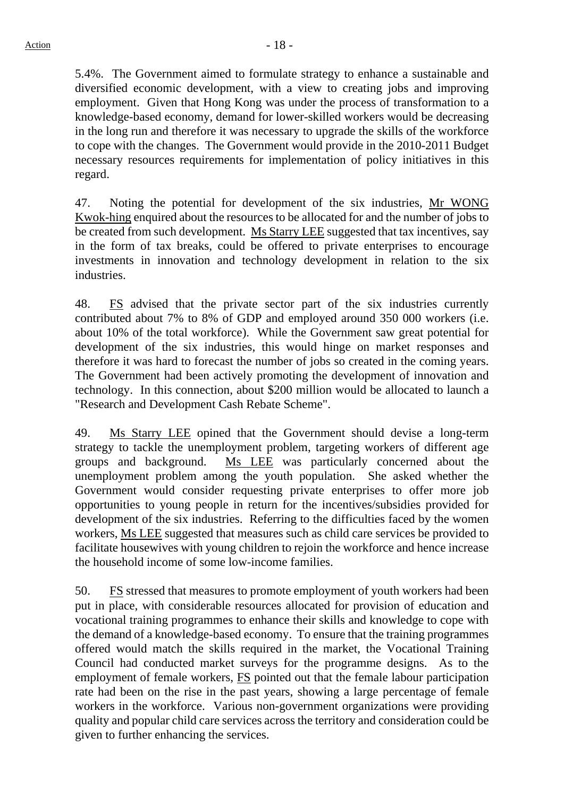5.4%. The Government aimed to formulate strategy to enhance a sustainable and diversified economic development, with a view to creating jobs and improving employment. Given that Hong Kong was under the process of transformation to a knowledge-based economy, demand for lower-skilled workers would be decreasing in the long run and therefore it was necessary to upgrade the skills of the workforce to cope with the changes. The Government would provide in the 2010-2011 Budget necessary resources requirements for implementation of policy initiatives in this regard.

47. Noting the potential for development of the six industries, Mr WONG Kwok-hing enquired about the resources to be allocated for and the number of jobs to be created from such development. Ms Starry LEE suggested that tax incentives, say in the form of tax breaks, could be offered to private enterprises to encourage investments in innovation and technology development in relation to the six industries.

48. Fost advised that the private sector part of the six industries currently contributed about 7% to 8% of GDP and employed around 350 000 workers (i.e. about 10% of the total workforce). While the Government saw great potential for development of the six industries, this would hinge on market responses and therefore it was hard to forecast the number of jobs so created in the coming years. The Government had been actively promoting the development of innovation and technology. In this connection, about \$200 million would be allocated to launch a "Research and Development Cash Rebate Scheme".

49. Ms Starry LEE opined that the Government should devise a long-term strategy to tackle the unemployment problem, targeting workers of different age groups and background. Ms LEE was particularly concerned about the unemployment problem among the youth population. She asked whether the Government would consider requesting private enterprises to offer more job opportunities to young people in return for the incentives/subsidies provided for development of the six industries. Referring to the difficulties faced by the women workers, Ms LEE suggested that measures such as child care services be provided to facilitate housewives with young children to rejoin the workforce and hence increase the household income of some low-income families.

50. FS stressed that measures to promote employment of youth workers had been put in place, with considerable resources allocated for provision of education and vocational training programmes to enhance their skills and knowledge to cope with the demand of a knowledge-based economy. To ensure that the training programmes offered would match the skills required in the market, the Vocational Training Council had conducted market surveys for the programme designs. As to the employment of female workers, **FS** pointed out that the female labour participation rate had been on the rise in the past years, showing a large percentage of female workers in the workforce. Various non-government organizations were providing quality and popular child care services across the territory and consideration could be given to further enhancing the services.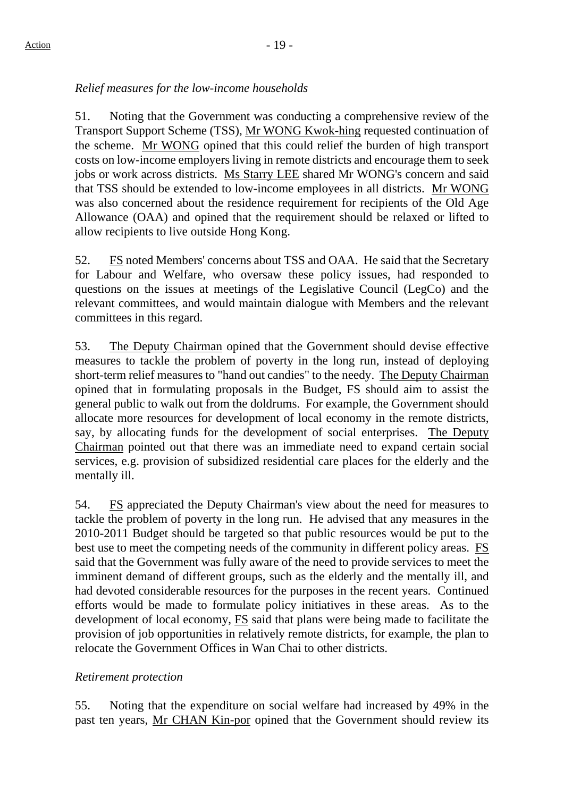# *Relief measures for the low-income households*

51. Noting that the Government was conducting a comprehensive review of the Transport Support Scheme (TSS), Mr WONG Kwok-hing requested continuation of the scheme. Mr WONG opined that this could relief the burden of high transport costs on low-income employers living in remote districts and encourage them to seek jobs or work across districts. Ms Starry LEE shared Mr WONG's concern and said that TSS should be extended to low-income employees in all districts. Mr WONG was also concerned about the residence requirement for recipients of the Old Age Allowance (OAA) and opined that the requirement should be relaxed or lifted to allow recipients to live outside Hong Kong.

52. FS noted Members' concerns about TSS and OAA. He said that the Secretary for Labour and Welfare, who oversaw these policy issues, had responded to questions on the issues at meetings of the Legislative Council (LegCo) and the relevant committees, and would maintain dialogue with Members and the relevant committees in this regard.

53. The Deputy Chairman opined that the Government should devise effective measures to tackle the problem of poverty in the long run, instead of deploying short-term relief measures to "hand out candies" to the needy. The Deputy Chairman opined that in formulating proposals in the Budget, FS should aim to assist the general public to walk out from the doldrums. For example, the Government should allocate more resources for development of local economy in the remote districts, say, by allocating funds for the development of social enterprises. The Deputy Chairman pointed out that there was an immediate need to expand certain social services, e.g. provision of subsidized residential care places for the elderly and the mentally ill.

54. FS appreciated the Deputy Chairman's view about the need for measures to tackle the problem of poverty in the long run. He advised that any measures in the 2010-2011 Budget should be targeted so that public resources would be put to the best use to meet the competing needs of the community in different policy areas. FS said that the Government was fully aware of the need to provide services to meet the imminent demand of different groups, such as the elderly and the mentally ill, and had devoted considerable resources for the purposes in the recent years. Continued efforts would be made to formulate policy initiatives in these areas. As to the development of local economy, FS said that plans were being made to facilitate the provision of job opportunities in relatively remote districts, for example, the plan to relocate the Government Offices in Wan Chai to other districts.

## *Retirement protection*

55. Noting that the expenditure on social welfare had increased by 49% in the past ten years, Mr CHAN Kin-por opined that the Government should review its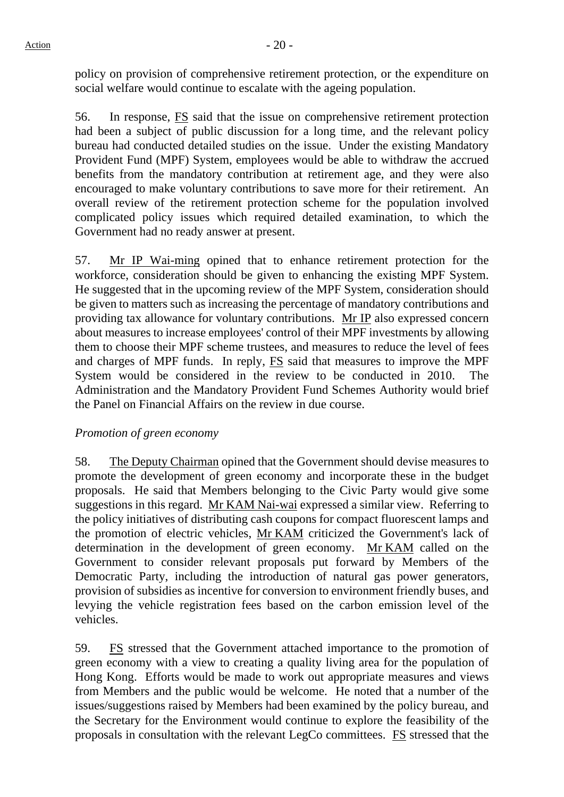policy on provision of comprehensive retirement protection, or the expenditure on social welfare would continue to escalate with the ageing population.

56. In response, FS said that the issue on comprehensive retirement protection had been a subject of public discussion for a long time, and the relevant policy bureau had conducted detailed studies on the issue. Under the existing Mandatory Provident Fund (MPF) System, employees would be able to withdraw the accrued benefits from the mandatory contribution at retirement age, and they were also encouraged to make voluntary contributions to save more for their retirement. An overall review of the retirement protection scheme for the population involved complicated policy issues which required detailed examination, to which the Government had no ready answer at present.

57. Mr IP Wai-ming opined that to enhance retirement protection for the workforce, consideration should be given to enhancing the existing MPF System. He suggested that in the upcoming review of the MPF System, consideration should be given to matters such as increasing the percentage of mandatory contributions and providing tax allowance for voluntary contributions. Mr IP also expressed concern about measures to increase employees' control of their MPF investments by allowing them to choose their MPF scheme trustees, and measures to reduce the level of fees and charges of MPF funds. In reply,  $\overline{FS}$  said that measures to improve the MPF System would be considered in the review to be conducted in 2010. The Administration and the Mandatory Provident Fund Schemes Authority would brief the Panel on Financial Affairs on the review in due course.

## *Promotion of green economy*

58. The Deputy Chairman opined that the Government should devise measures to promote the development of green economy and incorporate these in the budget proposals. He said that Members belonging to the Civic Party would give some suggestions in this regard. Mr KAM Nai-wai expressed a similar view. Referring to the policy initiatives of distributing cash coupons for compact fluorescent lamps and the promotion of electric vehicles, Mr KAM criticized the Government's lack of determination in the development of green economy. Mr KAM called on the Government to consider relevant proposals put forward by Members of the Democratic Party, including the introduction of natural gas power generators, provision of subsidies as incentive for conversion to environment friendly buses, and levying the vehicle registration fees based on the carbon emission level of the vehicles.

59. FS stressed that the Government attached importance to the promotion of green economy with a view to creating a quality living area for the population of Hong Kong. Efforts would be made to work out appropriate measures and views from Members and the public would be welcome. He noted that a number of the issues/suggestions raised by Members had been examined by the policy bureau, and the Secretary for the Environment would continue to explore the feasibility of the proposals in consultation with the relevant LegCo committees. FS stressed that the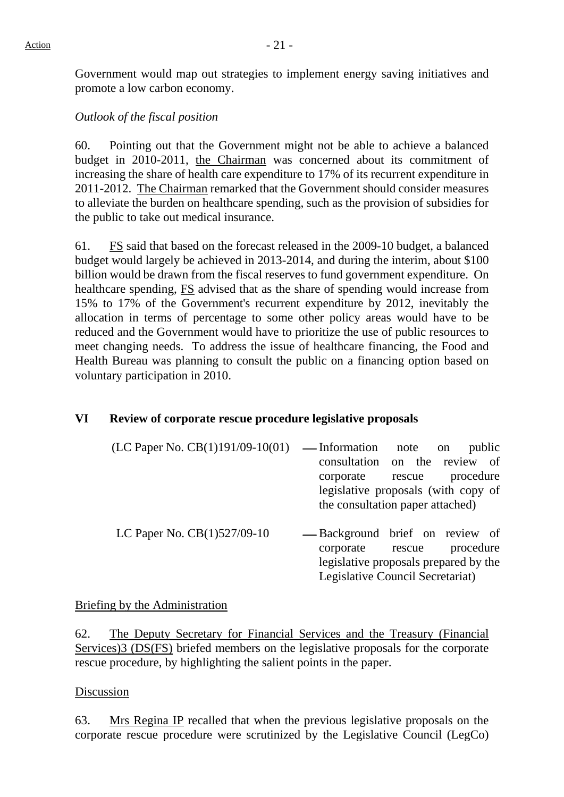Government would map out strategies to implement energy saving initiatives and promote a low carbon economy.

## *Outlook of the fiscal position*

60. Pointing out that the Government might not be able to achieve a balanced budget in 2010-2011, the Chairman was concerned about its commitment of increasing the share of health care expenditure to 17% of its recurrent expenditure in 2011-2012. The Chairman remarked that the Government should consider measures to alleviate the burden on healthcare spending, such as the provision of subsidies for the public to take out medical insurance.

61. FS said that based on the forecast released in the 2009-10 budget, a balanced budget would largely be achieved in 2013-2014, and during the interim, about \$100 billion would be drawn from the fiscal reserves to fund government expenditure. On healthcare spending, FS advised that as the share of spending would increase from 15% to 17% of the Government's recurrent expenditure by 2012, inevitably the allocation in terms of percentage to some other policy areas would have to be reduced and the Government would have to prioritize the use of public resources to meet changing needs. To address the issue of healthcare financing, the Food and Health Bureau was planning to consult the public on a financing option based on voluntary participation in 2010.

## **VI Review of corporate rescue procedure legislative proposals**

| $(LC$ Paper No. $CB(1)191/09-10(01)$ — Information note on public |                                     |  |  |  |
|-------------------------------------------------------------------|-------------------------------------|--|--|--|
|                                                                   | consultation on the review of       |  |  |  |
|                                                                   | corporate rescue procedure          |  |  |  |
|                                                                   | legislative proposals (with copy of |  |  |  |
|                                                                   | the consultation paper attached)    |  |  |  |
|                                                                   |                                     |  |  |  |

LC Paper No.  $CB(1)527/09-10$   $-$  Background brief on review of corporate rescue procedure legislative proposals prepared by the Legislative Council Secretariat)

## Briefing by the Administration

62. The Deputy Secretary for Financial Services and the Treasury (Financial Services)3 (DS(FS) briefed members on the legislative proposals for the corporate rescue procedure, by highlighting the salient points in the paper.

## Discussion

63. Mrs Regina IP recalled that when the previous legislative proposals on the corporate rescue procedure were scrutinized by the Legislative Council (LegCo)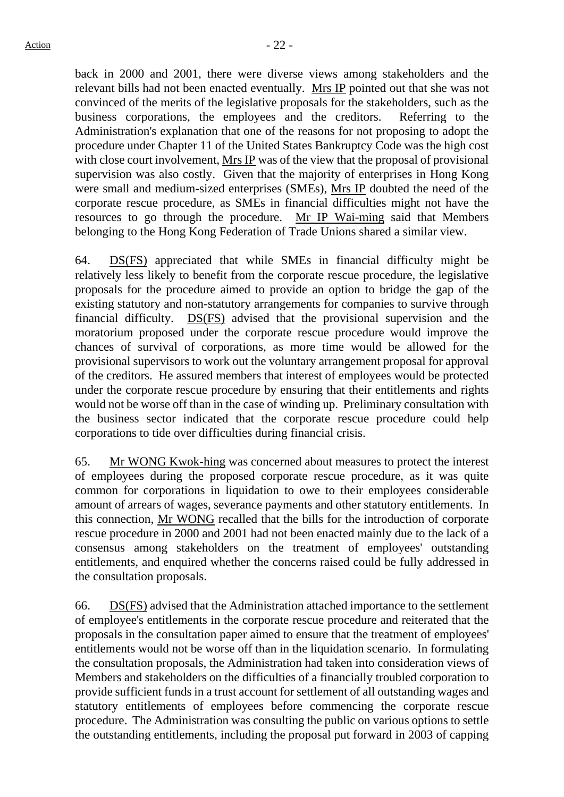back in 2000 and 2001, there were diverse views among stakeholders and the relevant bills had not been enacted eventually. Mrs IP pointed out that she was not convinced of the merits of the legislative proposals for the stakeholders, such as the business corporations, the employees and the creditors. Referring to the Administration's explanation that one of the reasons for not proposing to adopt the procedure under Chapter 11 of the United States Bankruptcy Code was the high cost with close court involvement, Mrs IP was of the view that the proposal of provisional supervision was also costly. Given that the majority of enterprises in Hong Kong were small and medium-sized enterprises (SMEs), Mrs IP doubted the need of the corporate rescue procedure, as SMEs in financial difficulties might not have the resources to go through the procedure. Mr IP Wai-ming said that Members belonging to the Hong Kong Federation of Trade Unions shared a similar view.

64. DS(FS) appreciated that while SMEs in financial difficulty might be relatively less likely to benefit from the corporate rescue procedure, the legislative proposals for the procedure aimed to provide an option to bridge the gap of the existing statutory and non-statutory arrangements for companies to survive through financial difficulty. DS(FS) advised that the provisional supervision and the moratorium proposed under the corporate rescue procedure would improve the chances of survival of corporations, as more time would be allowed for the provisional supervisors to work out the voluntary arrangement proposal for approval of the creditors. He assured members that interest of employees would be protected under the corporate rescue procedure by ensuring that their entitlements and rights would not be worse off than in the case of winding up. Preliminary consultation with the business sector indicated that the corporate rescue procedure could help corporations to tide over difficulties during financial crisis.

65. Mr WONG Kwok-hing was concerned about measures to protect the interest of employees during the proposed corporate rescue procedure, as it was quite common for corporations in liquidation to owe to their employees considerable amount of arrears of wages, severance payments and other statutory entitlements. In this connection, Mr WONG recalled that the bills for the introduction of corporate rescue procedure in 2000 and 2001 had not been enacted mainly due to the lack of a consensus among stakeholders on the treatment of employees' outstanding entitlements, and enquired whether the concerns raised could be fully addressed in the consultation proposals.

66. DS(FS) advised that the Administration attached importance to the settlement of employee's entitlements in the corporate rescue procedure and reiterated that the proposals in the consultation paper aimed to ensure that the treatment of employees' entitlements would not be worse off than in the liquidation scenario. In formulating the consultation proposals, the Administration had taken into consideration views of Members and stakeholders on the difficulties of a financially troubled corporation to provide sufficient funds in a trust account for settlement of all outstanding wages and statutory entitlements of employees before commencing the corporate rescue procedure. The Administration was consulting the public on various options to settle the outstanding entitlements, including the proposal put forward in 2003 of capping